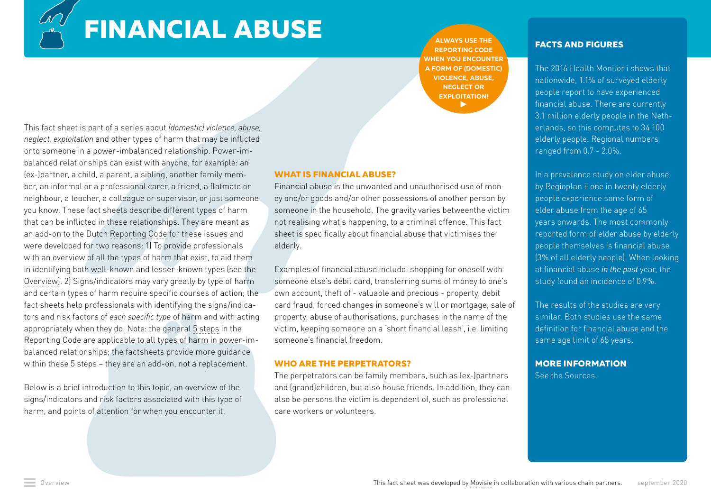**FINANCIAL ABUSE**

**[ALWAYS USE THE](http://Always use the Reporting Code when you encounter a form of (domestic) violence, abuse, neglect or exploitation!)  [REPORTING CODE](http://Always use the Reporting Code when you encounter a form of (domestic) violence, abuse, neglect or exploitation!)  [WHEN YOU ENCOUNTER](https://www.rijksoverheid.nl/onderwerpen/huiselijk-geweld/meldcode)  [A FORM OF \(DOMESTIC\)](http://Always use the Reporting Code when you encounter a form of (domestic) violence, abuse, neglect or exploitation!)  [VIOLENCE, ABUSE,](http://Always use the Reporting Code when you encounter a form of (domestic) violence, abuse, neglect or exploitation!)  [NEGLECT OR](http://Always use the Reporting Code when you encounter a form of (domestic) violence, abuse, neglect or exploitation!)  [EXPLOITATION!](http://Always use the Reporting Code when you encounter a form of (domestic) violence, abuse, neglect or exploitation!)**  $\blacktriangleright$ 

This fact sheet is part of a series about *(domestic) violence, abuse, neglect, exploitation* and other types of harm that may be inflicted onto someone in a power-imbalanced relationship. Power-imbalanced relationships can exist with anyone, for example: an (ex-)partner, a child, a parent, a sibling, another family member, an informal or a professional carer, a friend, a flatmate or neighbour, a teacher, a colleague or supervisor, or just someone you know. These fact sheets describe different types of harm that can be inflicted in these relationships. They are meant as an add-on to the Dutch [Reporting Code](https://www.rijksoverheid.nl/onderwerpen/huiselijk-geweld/meldcode) for these issues and were developed for two reasons: 1) To provide professionals with an overview of all the types of harm that exist, to aid them in identifying both well-known and lesser-known types (see the [Overview](https://www.huiselijkgeweld.nl/vormen)). 2) Signs/indicators may vary greatly by type of harm and certain types of harm require specific courses of action; the fact sheets help professionals with identifying the signs/indicators and risk factors of *each specific type* of harm and with acting appropriately when they do. Note: the general [5 steps](https://www.rijksoverheid.nl/onderwerpen/huiselijk-geweld/meldcode) in the Reporting Code are applicable to all types of harm in power-imbalanced relationships; the factsheets provide more guidance within these 5 steps – they are an add-on, not a replacement.

Below is a brief introduction to this topic, an overview of the signs/indicators and risk factors associated with this type of harm, and points of attention for when you encounter it.

#### **WHAT IS FINANCIAL ABUSE?**

Financial abuse is the unwanted and unauthorised use of money and/or goods and/or other possessions of another person by someone in the household. The gravity varies betweenthe victim not realising what's happening, to a criminal offence. This fact sheet is specifically about financial abuse that victimises the elderly.

Examples of financial abuse include: shopping for oneself with someone else's debit card, transferring sums of money to one's own account, theft of - valuable and precious - property, debit card fraud, forced changes in someone's will or mortgage, sale of property, abuse of authorisations, purchases in the name of the victim, keeping someone on a 'short financial leash', i.e. limiting someone's financial freedom.

#### **WHO ARE THE PERPETRATORS?**

The perpetrators can be family members, such as (ex-)partners and (grand)children, but also house friends. In addition, they can also be persons the victim is dependent of, such as professional care workers or volunteers.

#### **FACTS AND FIGURES**

The 2016 Health Monitor i shows that nationwide, 1.1% of surveyed elderly people report to have experienced financial abuse. There are currently 3.1 million elderly people in the Netherlands, so this computes to 34,100 elderly people. Regional numbers ranged from 0.7 - 2.0%.

In [a prevalence study on elder abuse](https://www.regioplan.nl/project/aard-en-omvang-ouderenmishandeling/)  [by Regioplan](https://www.regioplan.nl/project/aard-en-omvang-ouderenmishandeling/) ii one in twenty elderly people experience some form of elder abuse from the age of 65 years onwards. The most commonly reported form of elder abuse by elderly people themselves is financial abuse (3% of all elderly people). When looking at financial abuse *in the past* year, the study found an incidence of 0.9%.

The results of the studies are very similar. Both studies use the same definition for financial abuse and the same age limit of 65 years.

#### **MORE INFORMATION**

See the Sources.

 $\mathscr{L}$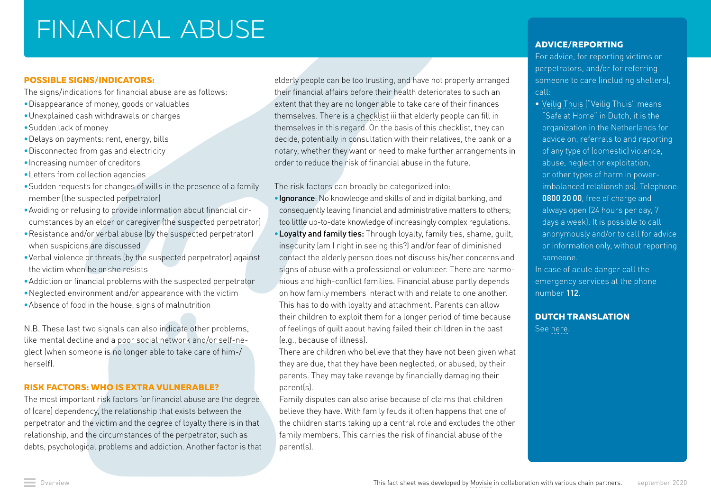# FINANCIAL ABUSE

## **POSSIBLE SIGNS/INDICATORS:**

The signs/indications for financial abuse are as follows:

- •Disappearance of money, goods or valuables
- •Unexplained cash withdrawals or charges
- •Sudden lack of money
- •Delays on payments: rent, energy, bills
- •Disconnected from gas and electricity
- •Increasing number of creditors
- •Letters from collection agencies
- •Sudden requests for changes of wills in the presence of a family member (the suspected perpetrator)
- •Avoiding or refusing to provide information about financial circumstances by an elder or caregiver (the suspected perpetrator)
- •Resistance and/or verbal abuse (by the suspected perpetrator) when suspicions are discussed
- •Verbal violence or threats (by the suspected perpetrator) against the victim when he or she resists
- •Addiction or financial problems with the suspected perpetrator
- •Neglected environment and/or appearance with the victim
- •Absence of food in the house, signs of malnutrition

N.B. These last two signals can also indicate other problems, like mental decline and a poor social network and/or self-neglect (when someone is no longer able to take care of him-/ herself).

## **RISK FACTORS: WHO IS EXTRA VULNERABLE?**

The most important risk factors for financial abuse are the degree of (care) dependency, the relationship that exists between the perpetrator and the victim and the degree of loyalty there is in that relationship, and the circumstances of the perpetrator, such as debts, psychological problems and addiction. Another factor is that elderly people can be too trusting, and have not properly arranged their financial affairs before their health deteriorates to such an extent that they are no longer able to take care of their finances themselves. There is a [checklist](https://www.aanpak-ouderenmishandeling.nl/doc/Checklist-ouder-voorkomen-van-financiele-uitbuiting.pdf) iii that elderly people can fill in themselves in this regard. On the basis of this checklist, they can decide, potentially in consultation with their relatives, the bank or a notary, whether they want or need to make further arrangements in order to reduce the risk of financial abuse in the future.

The risk factors can broadly be categorized into:

- •Ignorance: No knowledge and skills of and in digital banking, and consequently leaving financial and administrative matters to others; too little up-to-date knowledge of increasingly complex regulations.
- •Loyalty and family ties: Through loyalty, family ties, shame, guilt, insecurity (am I right in seeing this?) and/or fear of diminished contact the elderly person does not discuss his/her concerns and signs of abuse with a professional or volunteer. There are harmonious and high-conflict families. Financial abuse partly depends on how family members interact with and relate to one another. This has to do with loyalty and attachment. Parents can allow their children to exploit them for a longer period of time because of feelings of guilt about having failed their children in the past (e.g., because of illness).

There are children who believe that they have not been given what they are due, that they have been neglected, or abused, by their parents. They may take revenge by financially damaging their parent(s).

Family disputes can also arise because of claims that children believe they have. With family feuds it often happens that one of the children starts taking up a central role and excludes the other family members. This carries the risk of financial abuse of the parent(s).

## **ADVICE/REPORTING**

For advice, for reporting victims or perpetrators, and/or for referring someone to care (including shelters), call:

- **•** [Veilig Thuis](https://veiligthuis.nl/) ("Veilig Thuis" means "Safe at Home" in Dutch, it is the organization in the Netherlands for advice on, referrals to and reporting of any type of (domestic) violence, abuse, neglect or exploitation, or other types of harm in powerimbalanced relationships). Telephone: 0800 20 00, free of charge and always open (24 hours per day, 7 days a week). It is possible to call anonymously and/or to call for advice or information only, without reporting someone.
- In case of acute danger call the emergency services at the phone number 112.

## **DUTCH TRANSLATION**

See [here](https://www.huiselijkgeweld.nl/vormen/financieel-misbruik).